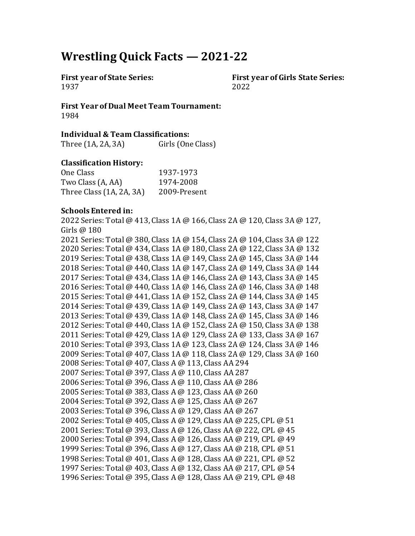# **Wrestling Quick Facts — 2021-22**

1937 2022

**First year of State Series: First year of Girls State Series:**

**First Year of Dual Meet Team Tournament:**  1984

#### **Individual & Team Classifications:**

Three (1A, 2A, 3A) Girls (One Class)

#### **Classification History:**

| One Class                | 1937-1973    |
|--------------------------|--------------|
| Two Class (A, AA)        | 1974-2008    |
| Three Class (1A, 2A, 3A) | 2009-Present |

#### **Schools Entered in:**

2022 Series: Total @ 413, Class 1A @ 166, Class 2A @ 120, Class 3A @ 127, Girls @ 180

2021 Series: Total @ 380, Class 1A @ 154, Class 2A @ 104, Class 3A @ 122 2020 Series: Total @ 434, Class 1A @ 180, Class 2A @ 122, Class 3A @ 132 2019 Series: Total @ 438, Class 1A @ 149, Class 2A @ 145, Class 3A @ 144 2018 Series: Total @ 440, Class 1A @ 147, Class 2A @ 149, Class 3A @ 144 2017 Series: Total @ 434, Class 1A @ 146, Class 2A @ 143, Class 3A @ 145 2016 Series: Total @ 440, Class 1A @ 146, Class 2A @ 146, Class 3A @ 148 2015 Series: Total @ 441, Class 1A @ 152, Class 2A @ 144, Class 3A @ 145 2014 Series: Total @ 439, Class 1A @ 149, Class 2A @ 143, Class 3A @ 147 2013 Series: Total @ 439, Class 1A @ 148, Class 2A @ 145, Class 3A @ 146 2012 Series: Total @ 440, Class 1A @ 152, Class 2A @ 150, Class 3A @ 138 2011 Series: Total @ 429, Class 1A @ 129, Class 2A @ 133, Class 3A @ 167 2010 Series: Total @ 393, Class 1A @ 123, Class 2A @ 124, Class 3A @ 146 2009 Series: Total @ 407, Class 1A @ 118, Class 2A @ 129, Class 3A @ 160 2008 Series: Total @ 407, Class A @ 113, Class AA 294 2007 Series: Total @ 397, Class A @ 110, Class AA 287 2006 Series: Total @ 396, Class A @ 110, Class AA @ 286 2005 Series: Total @ 383, Class A @ 123, Class AA @ 260 2004 Series: Total @ 392, Class A @ 125, Class AA @ 267 2003 Series: Total @ 396, Class A @ 129, Class AA @ 267 2002 Series: Total @ 405, Class A @ 129, Class AA @ 225, CPL @ 51 2001 Series: Total @ 393, Class A @ 126, Class AA @ 222, CPL @ 45 2000 Series: Total @ 394, Class A @ 126, Class AA @ 219, CPL @ 49 1999 Series: Total @ 396, Class A @ 127, Class AA @ 218, CPL @ 51 1998 Series: Total @ 401, Class A @ 128, Class AA @ 221, CPL @ 52 1997 Series: Total @ 403, Class A @ 132, Class AA @ 217, CPL @ 54 1996 Series: Total @ 395, Class A @ 128, Class AA @ 219, CPL @ 48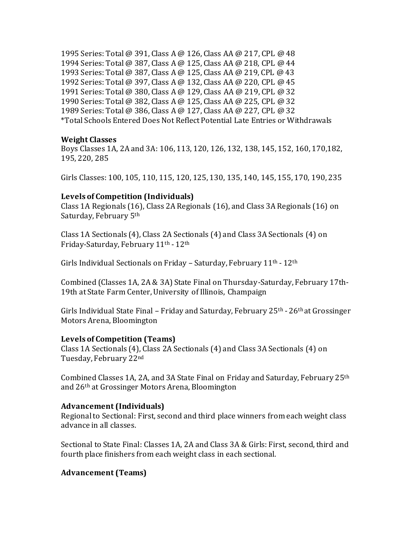1995 Series: Total @ 391, Class A @ 126, Class AA @ 217, CPL @ 48 1994 Series: Total @ 387, Class A @ 125, Class AA @ 218, CPL @ 44 1993 Series: Total @ 387, Class A @ 125, Class AA @ 219, CPL @ 43 1992 Series: Total @ 397, Class A @ 132, Class AA @ 220, CPL @ 45 1991 Series: Total @ 380, Class A @ 129, Class AA @ 219, CPL @ 32 1990 Series: Total @ 382, Class A @ 125, Class AA @ 225, CPL @ 32 1989 Series: Total @ 386, Class A @ 127, Class AA @ 227, CPL @ 32 \*Total Schools Entered Does Not Reflect Potential Late Entries or Withdrawals

#### **Weight Classes**

Boys Classes 1A, 2A and 3A: 106, 113, 120, 126, 132, 138, 145, 152, 160, 170,182, 195, 220, 285

Girls Classes: 100, 105, 110, 115, 120, 125, 130, 135, 140, 145, 155, 170, 190, 235

## **Levels of Competition (Individuals)**

Class 1A Regionals (16), Class 2A Regionals (16), and Class 3A Regionals (16) on Saturday, February 5th

Class 1A Sectionals (4), Class 2A Sectionals (4) and Class 3A Sectionals (4) on Friday-Saturday, February 11th - 12th

Girls Individual Sectionals on Friday – Saturday, February 11th - 12th

Combined (Classes 1A, 2A & 3A) State Final on Thursday-Saturday, February 17th-19th at State Farm Center, University of Illinois, Champaign

Girls Individual State Final – Friday and Saturday, February  $25<sup>th</sup>$  -  $26<sup>th</sup>$  at Grossinger Motors Arena, Bloomington

## **Levels of Competition (Teams)**

Class 1A Sectionals (4), Class 2A Sectionals (4) and Class 3A Sectionals (4) on Tuesday, February 22nd

Combined Classes 1A, 2A, and 3A State Final on Friday and Saturday, February 25<sup>th</sup> and 26th at Grossinger Motors Arena, Bloomington

## **Advancement (Individuals)**

Regional to Sectional: First, second and third place winners from each weight class advance in all classes.

Sectional to State Final: Classes 1A, 2A and Class 3A & Girls: First, second, third and fourth place finishers from each weight class in each sectional.

## **Advancement (Teams)**